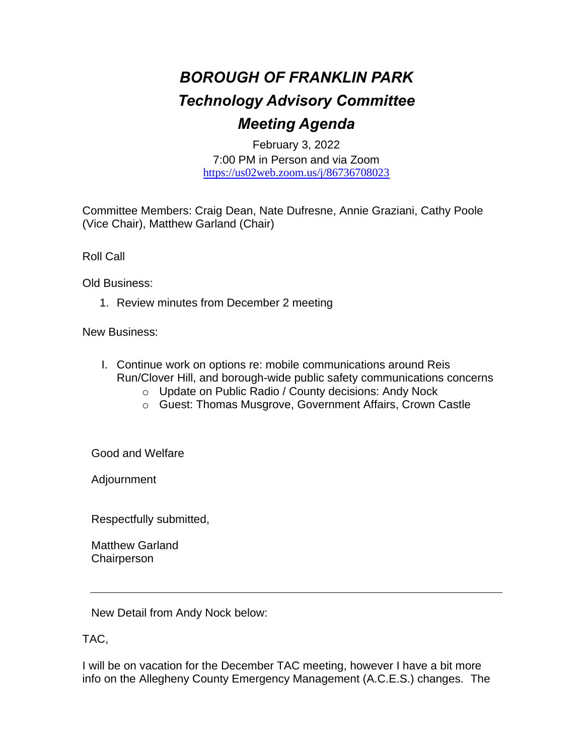## *BOROUGH OF FRANKLIN PARK Technology Advisory Committee Meeting Agenda*

February 3, 2022 7:00 PM in Person and via Zoom <https://us02web.zoom.us/j/86736708023>

Committee Members: Craig Dean, Nate Dufresne, Annie Graziani, Cathy Poole (Vice Chair), Matthew Garland (Chair)

Roll Call

Old Business:

1. Review minutes from December 2 meeting

New Business:

- I. Continue work on options re: mobile communications around Reis Run/Clover Hill, and borough-wide public safety communications concerns
	- o Update on Public Radio / County decisions: Andy Nock
	- o Guest: Thomas Musgrove, Government Affairs, Crown Castle

Good and Welfare

Adjournment

Respectfully submitted,

Matthew Garland **Chairperson** 

New Detail from Andy Nock below:

TAC,

I will be on vacation for the December TAC meeting, however I have a bit more info on the Allegheny County Emergency Management (A.C.E.S.) changes. The